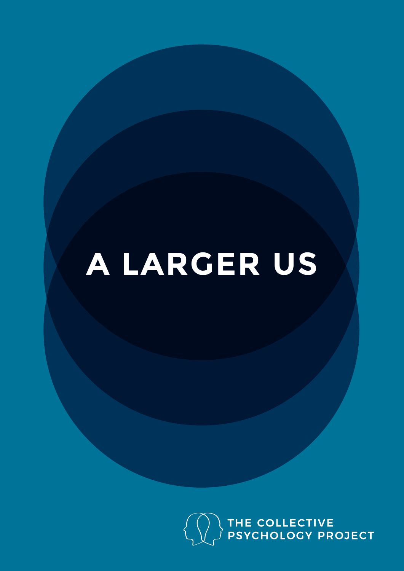# **A LARGER US**

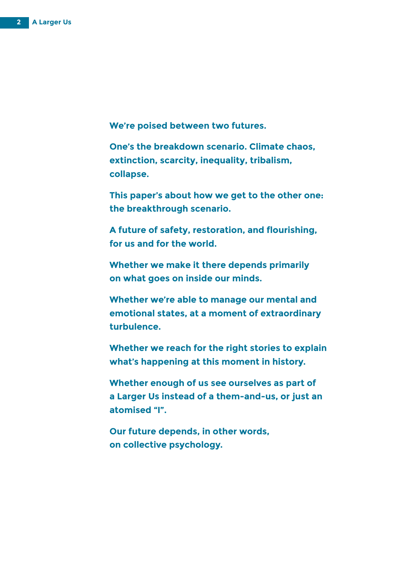**We're poised between two futures.**

**One's the breakdown scenario. Climate chaos, extinction, scarcity, inequality, tribalism, collapse.** 

**This paper's about how we get to the other one: the breakthrough scenario.** 

**A future of safety, restoration, and flourishing, for us and for the world.**

**Whether we make it there depends primarily on what goes on inside our minds.** 

**Whether we're able to manage our mental and emotional states, at a moment of extraordinary turbulence.** 

**Whether we reach for the right stories to explain what's happening at this moment in history.** 

**Whether enough of us see ourselves as part of a Larger Us instead of a them-and-us, or just an atomised "I".**

**Our future depends, in other words, on collective psychology.**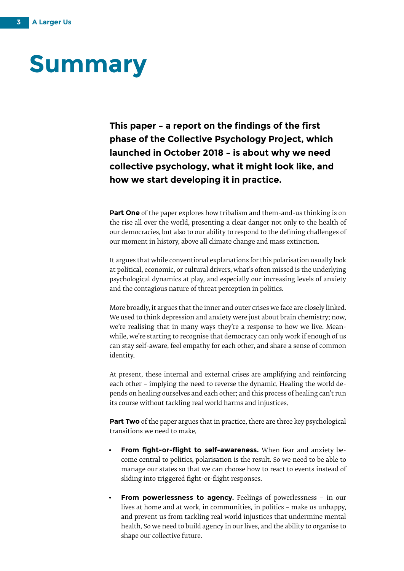### **Summary**

**This paper – a report on the findings of the first phase of the Collective Psychology Project, which launched in October 2018 – is about why we need collective psychology, what it might look like, and how we start developing it in practice.** 

**Part One** of the paper explores how tribalism and them-and-us thinking is on the rise all over the world, presenting a clear danger not only to the health of our democracies, but also to our ability to respond to the defining challenges of our moment in history, above all climate change and mass extinction.

It argues that while conventional explanations for this polarisation usually look at political, economic, or cultural drivers, what's often missed is the underlying psychological dynamics at play, and especially our increasing levels of anxiety and the contagious nature of threat perception in politics.

More broadly, it argues that the inner and outer crises we face are closely linked. We used to think depression and anxiety were just about brain chemistry; now, we're realising that in many ways they're a response to how we live. Meanwhile, we're starting to recognise that democracy can only work if enough of us can stay self-aware, feel empathy for each other, and share a sense of common identity.

At present, these internal and external crises are amplifying and reinforcing each other – implying the need to reverse the dynamic. Healing the world depends on healing ourselves and each other; and this process of healing can't run its course without tackling real world harms and injustices.

**Part Two** of the paper argues that in practice, there are three key psychological transitions we need to make.

- **From fight-or-flight to self-awareness.** When fear and anxiety become central to politics, polarisation is the result. So we need to be able to manage our states so that we can choose how to react to events instead of sliding into triggered fight-or-flight responses.
- **From powerlessness to agency.** Feelings of powerlessness in our lives at home and at work, in communities, in politics – make us unhappy, and prevent us from tackling real world injustices that undermine mental health. So we need to build agency in our lives, and the ability to organise to shape our collective future.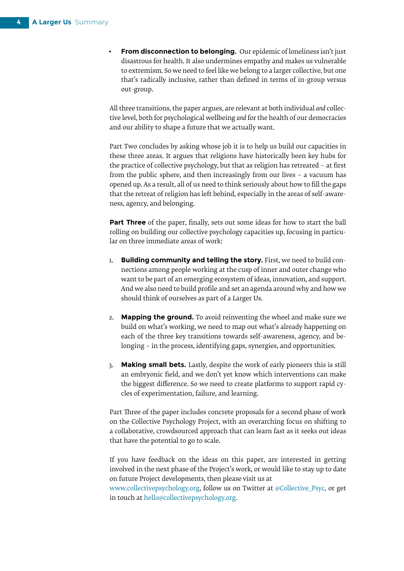• **From disconnection to belonging.** Our epidemic of loneliness isn't just disastrous for health. It also undermines empathy and makes us vulnerable to extremism. So we need to feel like we belong to a larger collective, but one that's radically inclusive, rather than defined in terms of in-group versus out-group.

All three transitions, the paper argues, are relevant at both individual *and* collective level, both for psychological wellbeing *and* for the health of our democracies and our ability to shape a future that we actually want.

Part Two concludes by asking whose job it is to help us build our capacities in these three areas. It argues that religions have historically been key hubs for the practice of collective psychology, but that as religion has retreated – at first from the public sphere, and then increasingly from our lives – a vacuum has opened up. As a result, all of us need to think seriously about how to fill the gaps that the retreat of religion has left behind, especially in the areas of self-awareness, agency, and belonging.

**Part Three** of the paper, finally, sets out some ideas for how to start the ball rolling on building our collective psychology capacities up, focusing in particular on three immediate areas of work:

- 1. **Building community and telling the story.** First, we need to build connections among people working at the cusp of inner and outer change who want to be part of an emerging ecosystem of ideas, innovation, and support. And we also need to build profile and set an agenda around why and how we should think of ourselves as part of a Larger Us.
- 2. **Mapping the ground.** To avoid reinventing the wheel and make sure we build on what's working, we need to map out what's already happening on each of the three key transitions towards self-awareness, agency, and belonging – in the process, identifying gaps, synergies, and opportunities.
- 3. **Making small bets.** Lastly, despite the work of early pioneers this is still an embryonic field, and we don't yet know which interventions can make the biggest difference. So we need to create platforms to support rapid cycles of experimentation, failure, and learning.

Part Three of the paper includes concrete proposals for a second phase of work on the Collective Psychology Project, with an overarching focus on shifting to a collaborative, crowdsourced approach that can learn fast as it seeks out ideas that have the potential to go to scale.

If you have feedback on the ideas on this paper, are interested in getting involved in the next phase of the Project's work, or would like to stay up to date on future Project developments, then please visit us at

[www.collectivepsychology.org](http://www.collectivepsychology.org), follow us on Twitter at [@Collective\\_Psyc,](https://twitter.com/Collective_Psyc) or get in touch at [hello@collectivepsychology.org.](mailto:hello%40collectivepsychology.org?subject=)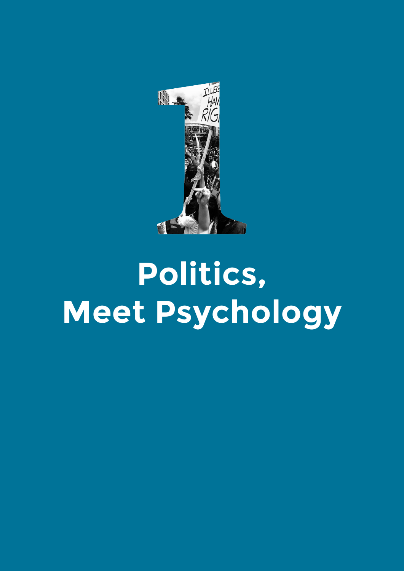

# **Politics, Meet Psychology**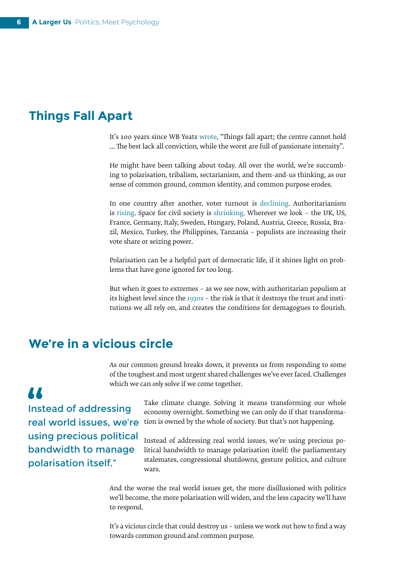#### **Things Fall Apart**

It's 100 years since WB Yeats [wrote,](https://www.poetryfoundation.org/poems/43290/the-second-coming) "Things fall apart; the centre cannot hold … The best lack all conviction, while the worst are full of passionate intensity".

He might have been talking about today. All over the world, we're succumbing to polarisation, tribalism, sectarianism, and them-and-us thinking, as our sense of common ground, common identity, and common purpose erodes.

In one country after another, voter turnout is [declining](https://www.idea.int/sites/default/files/publications/voter-turnout-trends-around-the-world.pdf). Authoritarianism is [rising](https://www.v-dem.net/media/filer_public/3f/19/3f19efc9-e25f-4356-b159-b5c0ec894115/v-dem_democracy_report_2018.pdf). Space for civil society is [shrinking.](https://monitor.civicus.org/PeoplePowerUnderAttack2018/;%20https:/www.civicus.org/index.php/media-resources/news/united-nations/geneva/3091-statement-at-human-rights-council-threats-to-civic-space) Wherever we look – the UK, US, France, Germany, Italy, Sweden, Hungary, Poland, Austria, Greece, Russia, Brazil, Mexico, Turkey, the Philippines, Tanzania – populists are increasing their vote share or seizing power.

Polarisation can be a helpful part of democratic life, if it shines light on problems that have gone ignored for too long.

But when it goes to extremes – as we see now, with authoritarian populism at its highest level since the [1930s](http://www.obela.org/system/files/Populism.pdf) – the risk is that it destroys the trust and institutions we all rely on, and creates the conditions for demagogues to flourish.

#### **We're in a vicious circle**

As our common ground breaks down, it prevents us from responding to some of the toughest and most urgent shared challenges we've ever faced. Challenges which we can *only* solve if we come together.

Instead of addressing real world issues, we're using precious political bandwidth to manage polarisation itself."

**AA** 

Take climate change. Solving it means transforming our whole economy overnight. Something we can only do if that transformation is owned by the whole of society. But that's not happening.

Instead of addressing real world issues, we're using precious political bandwidth to manage polarisation itself: the parliamentary stalemates, congressional shutdowns, gesture politics, and culture ware

And the worse the real world issues get, the more disillusioned with politics we'll become, the more polarisation will widen, and the less capacity we'll have to respond.

It's a vicious circle that could destroy us – unless we work out how to find a way towards common ground and common purpose.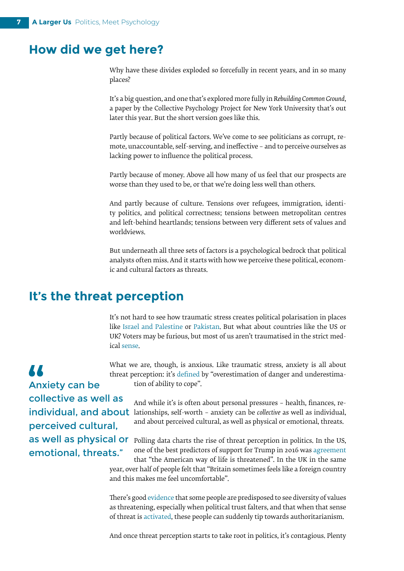#### **How did we get here?**

Why have these divides exploded so forcefully in recent years, and in so many places?

It's a big question, and one that's explored more fully in *Rebuilding Common Ground*, a paper by the Collective Psychology Project for New York University that's out later this year. But the short version goes like this.

Partly because of political factors. We've come to see politicians as corrupt, remote, unaccountable, self-serving, and ineffective – and to perceive ourselves as lacking power to influence the political process.

Partly because of money. Above all how many of us feel that our prospects are worse than they used to be, or that we're doing less well than others.

And partly because of culture. Tensions over refugees, immigration, identity politics, and political correctness; tensions between metropolitan centres and left-behind heartlands; tensions between very different sets of values and worldviews.

But underneath all three sets of factors is a psychological bedrock that political analysts often miss. And it starts with how we perceive these political, economic and cultural factors as threats.

#### **It's the threat perception**

It's not hard to see how traumatic stress creates political polarisation in places like [Israel and Palestine](https://www.collectivepsychology.org/political-polarisation-health/) or [Pakistan.](https://www.britishcouncil.org/sites/default/files/next_generation_insecure_lives_untold_stories.pdf) But what about countries like the US or UK? Voters may be furious, but most of us aren't traumatised in the strict medica[l sense.](https://www.brainline.org/article/dsm-5-criteria-ptsd)

What we are, though, is anxious. Like traumatic stress, anxiety is all about threat perception: it's [defined](https://epdf.tips/cognitive-therapy-of-anxiety-disorders-a-practice-manual-and-conceptual-guide.html) by "overestimation of danger and underestimation of ability to cope".

And while it's is often about personal pressures – health, finances, reindividual, and about lationships, self-worth - anxiety can be *collective* as well as individual, and about perceived cultural, as well as physical or emotional, threats.

as well as physical or **Polling data charts the rise of threat perception** in politics. In the US, one of the best predictors of support for Trump in 2016 was [agreement](https://www.theatlantic.com/science/archive/2018/04/existential-anxiety-not-poverty-motivates-trump-support/558674/) that "the American way of life is threatened". In the UK in the same year, over half of peopl[e felt](https://www.thetimes.co.uk/article/the-great-british-dividesomewheres-v-anywheres-s8qm908f0) that "Britain sometimes feels like a foreign country and this makes me feel uncomfortable".

> There's good [evidence](https://psmag.com/news/authoritarianism-the-terrifying-trait-that-trump-triggers) that some people are predisposed to see diversity of values as threatening, especially when political trust falters, and that when that sense of threat is [activated](https://righteousmind.com/the-key-to-trump-is-stenners-authoritarianism/), these people can suddenly tip towards authoritarianism.

> And once threat perception starts to take root in politics, it's contagious. Plenty

77 Anxiety can be collective as well as perceived cultural, emotional, threats."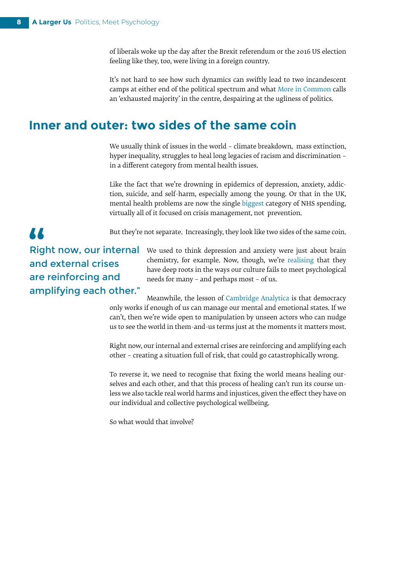of liberals woke up the day after the Brexit referendum or the 2016 US election feeling like they, too, were living in a foreign country.

It's not hard to see how such dynamics can swiftly lead to two incandescent camps at either end of the political spectrum and what [More in Common](https://www.moreincommon.com/hidden-tribes/) calls an 'exhausted majority' in the centre, despairing at the ugliness of politics.

#### **Inner and outer: two sides of the same coin**

We usually think of issues in the world - climate breakdown, mass extinction, hyper inequality, struggles to heal long legacies of racism and discrimination – in a different category from mental health issues.

Like the fact that we're drowning in epidemics of depression, anxiety, addiction, suicide, and self-harm, especially among the young. Or that in the UK, mental health problems are now the singl[e biggest](https://www.nuffieldtrust.org.uk/chart/categories-of-nhs-spending-per-head) category of NHS spending, virtually all of it focused on crisis management, not prevention.

But they're not separate. Increasingly, they look like two sides of the same coin.

77 Right now, our internal and external crises are reinforcing and amplifying each other."

We used to think depression and anxiety were just about brain chemistry, for example. Now, though, we'r[e realising](https://www.theguardian.com/society/2018/jan/07/is-everything-you-think-you-know-about-depression-wrong-johann-hari-lost-connections) that they have deep roots in the ways our culture fails to meet psychological needs for many – and perhaps most – of us.

Meanwhile, the lesson of [Cambridge Analytica](https://www.newyorker.com/news/news-desk/cambridge-analytica-and-the-perils-of-psychographics) is that democracy only works if enough of us can manage our mental and emotional states. If we can't, then we're wide open to manipulation by unseen actors who can nudge us to see the world in them-and-us terms just at the moments it matters most.

Right now, our internal and external crises are reinforcing and amplifying each other – creating a situation full of risk, that could go catastrophically wrong.

To reverse it, we need to recognise that fixing the world means healing ourselves and each other, and that this process of healing can't run its course unless we also tackle real world harms and injustices, given the effect they have on our individual and collective psychological wellbeing.

So what would that involve?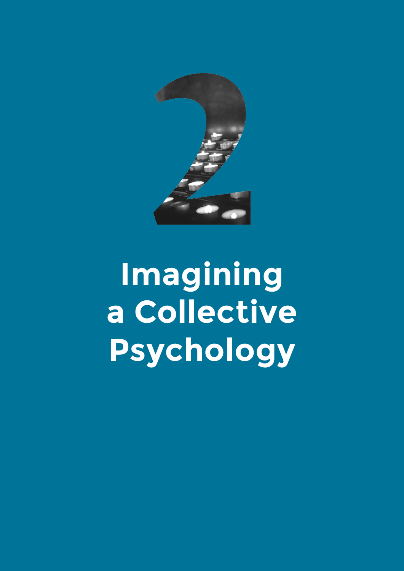

# **Imagining a Collective Psychology**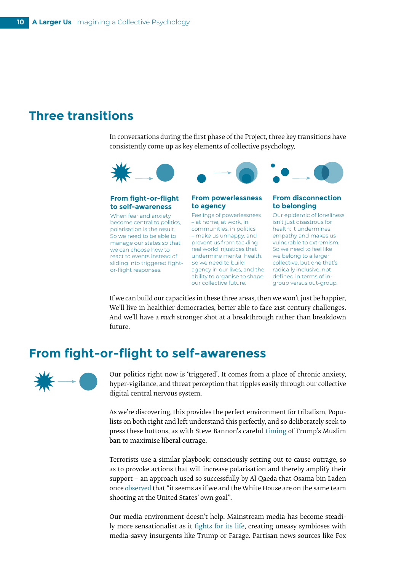#### **Three transitions**

In conversations during the first phase of the Project, three key transitions have consistently come up as key elements of collective psychology.



#### **to self-awareness**

When fear and anxiety become central to politics, polarisation is the result. So we need to be able to manage our states so that we can choose how to react to events instead of sliding into triggered fightor-flight responses.

#### **to agency**

ability to organise to shape defined in terms of in-Feelings of powerlessness – at home, at work, in communities, in politics – make us unhappy, and prevent us from tackling real world injustices that undermine mental health. So we need to build agency in our lives, and the our collective future.

### **to belonging**

Our epidemic of loneliness isn't just disastrous for health: it undermines empathy and makes us vulnerable to extremism. So we need to feel like we belong to a larger collective, but one that's radically inclusive, not group versus out-group.

If we can build our capacities in these three areas, then we won't just be happier. We'll live in healthier democracies, better able to face 21st century challenges. And we'll have a *much* stronger shot at a breakthrough rather than breakdown future.

#### **From fight-or-flight to self-awareness**



Our politics right now is 'triggered'. It comes from a place of chronic anxiety, hyper-vigilance, and threat perception that ripples easily through our collective digital central nervous system.

As we're discovering, this provides the perfect environment for tribalism. Populists on both right and left understand this perfectly, and so deliberately seek to press these buttons, as with Steve Bannon's careful [timing](https://www.businessinsider.com/bannon-wanted-trump-to-sign-travel-ban-when-it-would-cause-chaos-2018-1?r=US&IR=T) of Trump's Muslim ban to maximise liberal outrage.

Terrorists use a similar playbook: consciously setting out to cause outrage, so as to provoke actions that will increase polarisation and thereby amplify their support – an approach used so successfully by Al Qaeda that Osama bin Laden onc[e observed](http://globaldashboard.org/wp-content/uploads/2008/07/Towards_a_theory_of_influence.pdf) that "it seems as if we and the White House are on the same team shooting at the United States' own goal".

Our media environment doesn't help. Mainstream media has become steadily more sensationalist as it [fights for its life](https://www.pewresearch.org/fact-tank/2018/08/21/5-facts-about-the-state-of-the-news-media-in-2017/), creating uneasy symbioses with media-savvy insurgents like Trump or Farage. Partisan news sources like Fox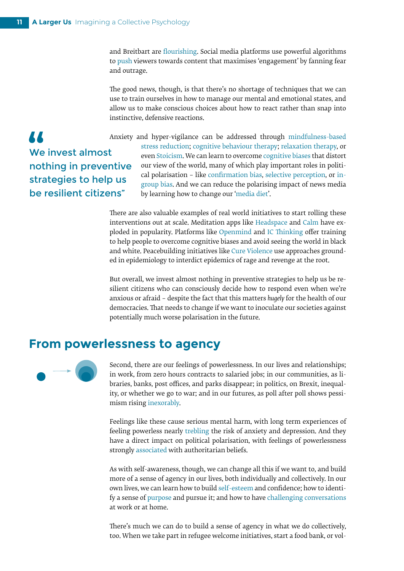and Breitbart are [flourishing](https://cyber.harvard.edu/publications/2017/08/mediacloud). Social media platforms use powerful algorithms to [push](https://journals.plos.org/plosone/article?id=10.1371/journal.pone.0213246) viewers towards content that maximises 'engagement' by fanning fear and outrage.

The good news, though, is that there's no shortage of techniques that we can use to train ourselves in how to manage our mental and emotional states, and allow us to make conscious choices about how to react rather than snap into instinctive, defensive reactions.

**AA** We invest almost nothing in preventive strategies to help us be resilient citizens"

Anxiety and hyper-vigilance can be addressed through[mindfulness-based](https://www.ncbi.nlm.nih.gov/pmc/articles/PMC4203918/) [stress reduction;](https://www.ncbi.nlm.nih.gov/pmc/articles/PMC4203918/) [cognitive behaviour therapy;](https://www.nhs.uk/conditions/cognitive-behavioural-therapy-cbt/) [relaxation therapy](https://www.ncbi.nlm.nih.gov/pmc/articles/PMC3797858/)[,](https://www.ncbi.nlm.nih.gov/pmc/articles/PMC4203918/) or even [Stoicism.](https://www.telegraph.co.uk/lifestyle/wellbeing/10146546/Anxious-Depressed-Try-Greek-philosophy.html) We can learn to overcom[e cognitive biases](https://www.visualcapitalist.com/every-single-cognitive-bias/) that distort our view of the world, many of which play important roles in political polarisation – like [confirmation bias](https://en.wikipedia.org/wiki/Confirmation_bias), [selective perception,](https://en.wikipedia.org/wiki/Selective_perception) or [in](https://en.wikipedia.org/wiki/In-group_favoritism)[group bias](https://en.wikipedia.org/wiki/In-group_favoritism). And we can reduce the polarising impact of news media by learning how to change our '[media diet](https://www.jodiejackson.com/you-are-what-you-read/)'.

There are also valuable examples of real world initiatives to start rolling these interventions out at scale. Meditation apps like [Headspace](https://www.headspace.com/) and [Calm](https://www.calm.com/) have exploded in popularity. Platforms like [Openmind](https://openmindplatform.org/) and [IC Thinking](https://icthinking.org/about) offer training to help people to overcome cognitive biases and avoid seeing the world in black and white. Peacebuilding initiatives like [Cure Violence](http://cureviolence.org/) use approaches grounded in epidemiology to interdict epidemics of rage and revenge at the root.

But overall, we invest almost nothing in preventive strategies to help us be resilient citizens who can consciously decide how to respond even when we're anxious or afraid – despite the fact that this matters *hugely* for the health of our democracies. That needs to change if we want to inoculate our societies against potentially much worse polarisation in the future.

#### **From powerlessness to agency**



Second, there are our feelings of powerlessness. In our lives and relationships; in work, from zero hours contracts to salaried jobs; in our communities, as libraries, banks, post offices, and parks disappear; in politics, on Brexit, inequality, or whether we go to war; and in our futures, as poll after poll shows pessimism rising [inexorably](https://www.ipsosglobaltrends.com/the-world-optimismpessimism/).

Feelings like these cause serious mental harm, with long term experiences of feeling powerless nearly [trebling](http://www.psychchange.org/trapped-and-powerless.html) the risk of anxiety and depression. And they have a direct impact on political polarisation, with feelings of powerlessness strongl[y associated](https://onlinelibrary.wiley.com/doi/pdf/10.1002/ejsp.2420230507) with authoritarian beliefs.

As with self-awareness, though, we can change all this if we want to, and build more of a sense of agency in our lives, both individually and collectively. In our own lives, we can learn how to build [self-esteem](https://www.mind.org.uk/information-support/types-of-mental-health-problems/self-esteem/#.XJjQV5j7RPY) and confidence; how to identify a sense of [purpose](https://presidelife.com/pages/bliss) and pursue it; and how to have [challenging conversations](http://www.acas.org.uk/index.aspx?articleid=3799) at work or at home.

There's much we can do to build a sense of agency in what we do collectively, too. When we take part in refugee welcome initiatives, start a food bank, or vol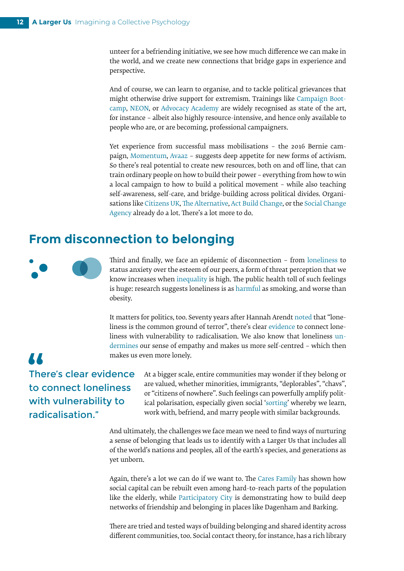unteer for a befriending initiative, we see how much difference we can make in the world, and we create new connections that bridge gaps in experience and perspective.

And of course, we can learn to organise, and to tackle political grievances that might otherwise drive support for extremism. Trainings lik[e Campaign Boot](https://campaignbootcamp.org/)[camp](https://campaignbootcamp.org/)[, NEON](https://neweconomyorganisers.org/), o[r Advocacy Academy](http://www.theadvocacyacademy.com/) are widely recognised as state of the art, for instance – albeit also highly resource-intensive, and hence only available to people who are, or are becoming, professional campaigners.

Yet experience from successful mass mobilisations – [the 2016 Bernie cam](http://www.rulesforrevolutionaries.org/)[paign](http://www.rulesforrevolutionaries.org/)[, Momentum,](https://peoplesmomentum.com/) [Avaaz](http://www.avaaz.org/) – suggests deep appetite for new forms of activism. So there's real potential to create new resources, both on and off line, that can train ordinary people on how to build their power – everything from how to win a local campaign to how to build a political movement – while also teaching self-awareness, self-care, and bridge-building across political divides. Organisations lik[e Citizens UK,](https://www.citizensuk.org/) [The Alternative](https://www.thealternative.org.uk/), [Act Build Change](https://actbuildchange.com/), or the [Social Change](https://thesocialchangeagency.org/movement-building/) [Agency](https://thesocialchangeagency.org/movement-building/) already do a lot. There's a lot more to do.

#### **From disconnection to belonging**



**AA** 

Third and finally, we face an epidemic of disconnection – from [loneliness](https://qz.com/1420602/feeling-lonely-vivek-murthy-says-to-get-out-of-your-head-and-help-someone-else/) to status anxiety over the esteem of our peers, a form of threat perception that we know increases when [inequality](http://www.gini-research.org/system/uploads/546/original/90.pdf) is high. The public health toll of such feelings is huge: research suggests loneliness is a[s harmful](https://journals.plos.org/plosmedicine/article?id=10.1371/journal.pmed.1000316) as smoking, and worse than obesity.

It matters for politics, too. Seventy years after Hannah Arendt [noted](https://aeon.co/essays/loneliness-is-the-common-ground-of-terror-and-extremism;) that "loneliness is the common ground of terror", there's clea[r evidence](https://www.tandfonline.com/doi/abs/10.1080/08039488.2018.1525640?journalCode=ipsc20) to connect loneliness with vulnerability to radicalisation. We also know that loneliness [un](https://journals.sagepub.com/doi/abs/10.1177/0146167217705120)[dermines](https://journals.sagepub.com/doi/abs/10.1177/0146167217705120) our sense of empathy and makes us more self-centred – which then makes us even more lonely.

#### There's clear [evidence](https://www.tandfonline.com/doi/abs/10.1080/08039488.2018.1525640?journalCode=ipsc20)  to connect loneliness with vulnerability to radicalisation."

At a bigger scale, entire communities may wonder if they belong or are valued, whether minorities, immigrants, "deplorables", "chavs", or "citizens of nowhere". Such feelings can powerfully amplify political polarisation, especially given social '[sorting'](https://www.fastcompany.com/40465644/brene-brown-americas-crisis-of-disconnection-runs-deeper-than-politics) whereby we learn, work with, befriend, and marry people with similar backgrounds.

And ultimately, the challenges we face mean we need to find ways of nurturing a sense of belonging that leads us to identify with a Larger Us that includes all of the world's nations and peoples, all of the earth's species, and generations as yet unborn.

Again, there's a lot we can do if we want to. Th[e Cares Family](https://thecaresfamily.org.uk/) has shown how social capital can be rebuilt even among hard-to-reach parts of the population like the elderly, while [Participatory City](https://www.participatorycity.org/) is demonstrating how to build deep networks of friendship and belonging in places like Dagenham and Barking.

There are tried and tested ways of building belonging and shared identity across different communities, too. Social contact theory, for instance, has a rich library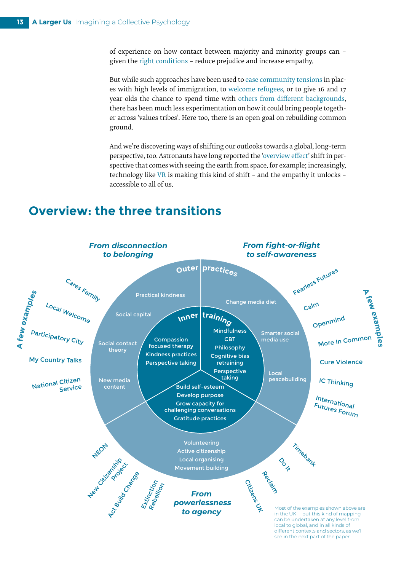of experience on how contact between majority and minority groups can – given the [right conditions](https://www.facinghistory.org/sounds-change/gordon-allports-contact-hypothesis) – reduce prejudice and increase empathy.

But while such approaches have been used to [ease community tensions](http://www.thecampaigncompany.co.uk/community-cohesion/long-read-know-five-integrated-communities-councils/) in places with high levels of immigration, t[o welcome refugees](https://www.localwelcome.org/), or to give 16 and 17 year olds the chance to spend time wit[h others from different backgrounds,](https://www.ncsyes.co.uk/) there has been much less experimentation on how it could bring people together across 'values tribes'. Here too, there is an open goal on rebuilding common ground.

And we're discovering ways of shifting our outlooks towards a global, long-term perspective, too. Astronauts have long reported the '[overview effect](https://en.wikipedia.org/wiki/Overview_effect)' shift in perspective that comes with seeing the earth from space, for example; increasingly, technology like [VR](https://www.vice.com/en_uk/article/ez53ee/virtual-reality-unvr-refugees) is making this kind of shift – and the empathy it unlocks – accessible to all of us.

#### **Overview: the three transitions**

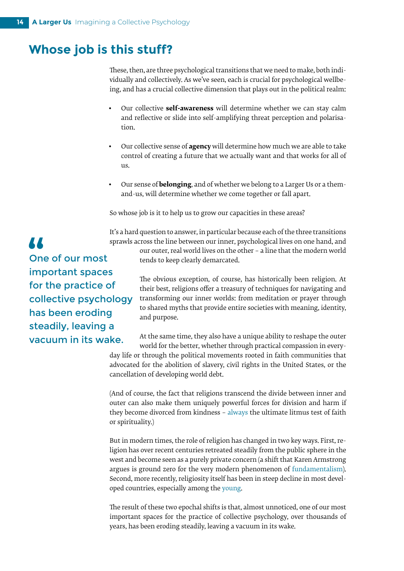#### **Whose job is this stuff?**

These, then, are three psychological transitions that we need to make, both individually and collectively. As we've seen, each is crucial for psychological wellbeing, and has a crucial collective dimension that plays out in the political realm:

- Our collective **self-awareness** will determine whether we can stay calm and reflective or slide into self-amplifying threat perception and polarisation.
- Our collective sense of **agency** will determine how much we are able to take control of creating a future that we actually want and that works for all of us.
- Our sense of **belonging**, and of whether we belong to a Larger Us or a themand-us, will determine whether we come together or fall apart.

So whose job is it to help us to grow our capacities in these areas?

It's a hard question to answer, in particular because each of the three transitions sprawls across the line between our inner, psychological lives on one hand, and

our outer, real world lives on the other – a line that the modern world tends to keep clearly demarcated.

The obvious exception, of course, has historically been religion. At their best, religions offer a treasury of techniques for navigating and transforming our inner worlds: from meditation or prayer through to shared myths that provide entire societies with meaning, identity, and purpose.

At the same time, they also have a unique ability to reshape the outer world for the better, whether through practical compassion in every-

day life or through the political movements rooted in faith communities that advocated for the abolition of slavery, civil rights in the United States, or the cancellation of developing world debt.

(And of course, the fact that religions transcend the divide between inner and outer can also make them uniquely powerful forces for division and harm if they become divorced from kindness – [always](https://www.newstatesman.com/node/164090) the ultimate litmus test of faith or spirituality.)

But in modern times, the role of religion has changed in two key ways. First, religion has over recent centuries retreated steadily from the public sphere in the west and become seen as a purely private concern (a shift that Karen Armstrong argues is ground zero for the very modern phenomenon of [fundamentalism](https://www.theguardian.com/world/2014/sep/25/-sp-karen-armstrong-religious-violence-myth-secular)). Second, more recently, religiosity itself has been in steep decline in most developed countries, especially among th[e young](https://www.pewforum.org/2018/06/13/young-adults-around-the-world-are-less-religious-by-several-measures/).

The result of these two epochal shifts is that, almost unnoticed, one of our most important spaces for the practice of collective psychology, over thousands of years, has been eroding steadily, leaving a vacuum in its wake.

**AA** One of our most important spaces for the practice of collective psychology has been eroding steadily, leaving a vacuum in its wake.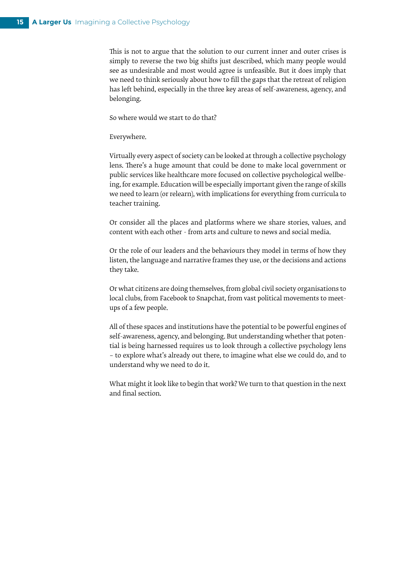This is not to argue that the solution to our current inner and outer crises is simply to reverse the two big shifts just described, which many people would see as undesirable and most would agree is unfeasible. But it does imply that we need to think seriously about how to fill the gaps that the retreat of religion has left behind, especially in the three key areas of self-awareness, agency, and belonging.

So where would we start to do that?

Everywhere.

Virtually every aspect of society can be looked at through a collective psychology lens. There's a huge amount that could be done to make local government or public services like healthcare more focused on collective psychological wellbeing, for example. Education will be especially important given the range of skills we need to learn (or relearn), with implications for everything from curricula to teacher training.

Or consider all the places and platforms where we share stories, values, and content with each other - from arts and culture to news and social media.

Or the role of our leaders and the behaviours they model in terms of how they listen, the language and narrative frames they use, or the decisions and actions they take.

Or what citizens are doing themselves, from global civil society organisations to local clubs, from Facebook to Snapchat, from vast political movements to meetups of a few people.

All of these spaces and institutions have the potential to be powerful engines of self-awareness, agency, and belonging. But understanding whether that potential is being harnessed requires us to look through a collective psychology lens – to explore what's already out there, to imagine what else we could do, and to understand why we need to do it.

What might it look like to begin that work? We turn to that question in the next and final section.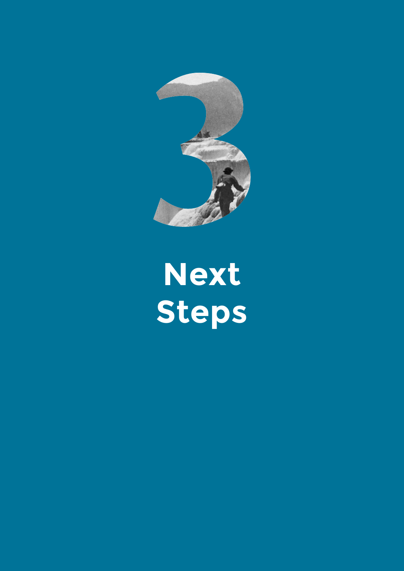

# **Next Steps**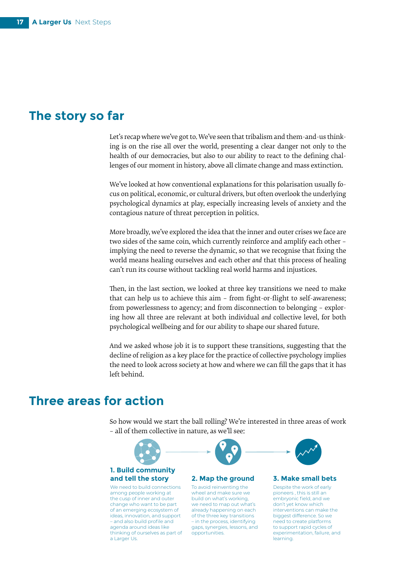#### **The story so far**

Let's recap where we've got to. We've seen that tribalism and them-and-us thinking is on the rise all over the world, presenting a clear danger not only to the health of our democracies, but also to our ability to react to the defining challenges of our moment in history, above all climate change and mass extinction.

We've looked at how conventional explanations for this polarisation usually focus on political, economic, or cultural drivers, but often overlook the underlying psychological dynamics at play, especially increasing levels of anxiety and the contagious nature of threat perception in politics.

More broadly, we've explored the idea that the inner and outer crises we face are two sides of the same coin, which currently reinforce and amplify each other – implying the need to reverse the dynamic, so that we recognise that fixing the world means healing ourselves and each other *and* that this process of healing can't run its course without tackling real world harms and injustices.

Then, in the last section, we looked at three key transitions we need to make that can help us to achieve this aim – from fight-or-flight to self-awareness; from powerlessness to agency; and from disconnection to belonging – exploring how all three are relevant at both individual *and* collective level, for both psychological wellbeing and for our ability to shape our shared future.

And we asked whose job it is to support these transitions, suggesting that the decline of religion as a key place for the practice of collective psychology implies the need to look across society at how and where we can fill the gaps that it has left behind.

#### **Three areas for action**

So how would we start the ball rolling? We're interested in three areas of work – all of them collective in nature, as we'll see:

#### **2. Map the ground and tell the story 3. Make small bets 1. Build community**

We need to build connections among people working at the cusp of inner and outer change who want to be part of an emerging ecosystem of ideas, innovation, and support – and also build profile and agenda around ideas like thinking of ourselves as part of a Larger Us.



To avoid reinventing the wheel and make sure we build on what's working, we need to map out what's already happening on each of the three key transitions – in the process, identifying gaps, synergies, lessons, and opportunities.



Despite the work of early pioneers , this is still an embryonic field, and we don't yet know which interventions can make the biggest difference. So we need to create platforms to support rapid cycles of experimentation, failure, and learning.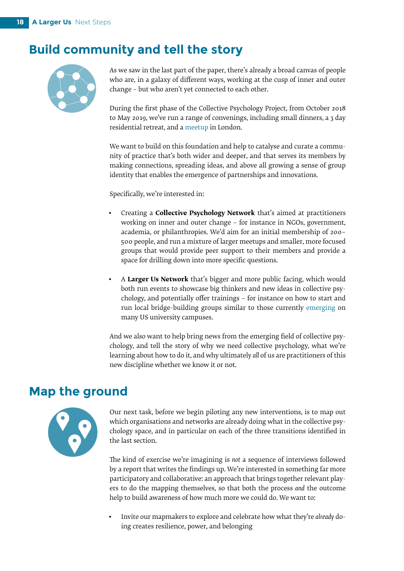#### **Build community and tell the story**



As we saw in the last part of the paper, there's already a broad canvas of people who are, in a galaxy of different ways, working at the cusp of inner and outer change – but who aren't yet connected to each other.

During the first phase of the Collective Psychology Project, from October 2018 to May 2019, we've run a range of convenings, including small dinners, a 3 day residential retreat, and a [meetup](https://www.eventbrite.co.uk/e/inside-out-drinks-tickets-55220333504?utm_term=eventname_text#) in London.

We want to build on this foundation and help to catalyse and curate a community of practice that's both wider and deeper, and that serves its members by making connections, spreading ideas, and above all growing a sense of group identity that enables the emergence of partnerships and innovations.

Specifically, we're interested in:

- Creating a **Collective Psychology Network** that's aimed at practitioners working on inner and outer change – for instance in NGOs, government, academia, or philanthropies. We'd aim for an initial membership of 200– 500 people, and run a mixture of larger meetups and smaller, more focused groups that would provide peer support to their members and provide a space for drilling down into more specific questions.
- A **Larger Us Network** that's bigger and more public facing, which would both run events to showcase big thinkers and new ideas in collective psychology, and potentially offer trainings – for instance on how to start and run local bridge-building groups similar to those currently [emerging](https://www.washingtonpost.com/) on many US university campuses.

And we also want to help bring news from the emerging field of collective psychology, and tell the story of why we need collective psychology, what we're learning about how to do it, and why ultimately *all* of us are practitioners of this new discipline whether we know it or not.

#### **Map the ground**



Our next task, before we begin piloting any new interventions, is to map out which organisations and networks are already doing what in the collective psychology space, and in particular on each of the three transitions identified in the last section.

The kind of exercise we're imagining is *not* a sequence of interviews followed by a report that writes the findings up. We're interested in something far more participatory and collaborative: an approach that brings together relevant players to do the mapping themselves, so that both the process *and* the outcome help to build awareness of how much more we could do. We want to:

• Invite our mapmakers to explore and celebrate how what they're *already* doing creates resilience, power, and belonging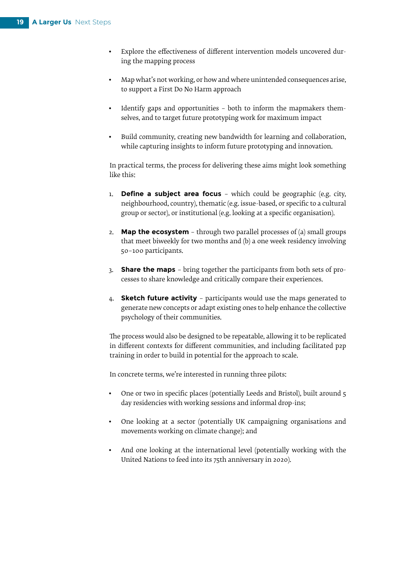- Explore the effectiveness of different intervention models uncovered during the mapping process
- Map what's not working, or how and where unintended consequences arise, to support a First Do No Harm approach
- Identify gaps and opportunities both to inform the mapmakers themselves, and to target future prototyping work for maximum impact
- Build community, creating new bandwidth for learning and collaboration, while capturing insights to inform future prototyping and innovation.

In practical terms, the process for delivering these aims might look something like this:

- 1. **Define a subject area focus** which could be geographic (e.g. city, neighbourhood, country), thematic (e.g. issue-based, or specific to a cultural group or sector), or institutional (e.g. looking at a specific organisation).
- 2. **Map the ecosystem** through two parallel processes of (a) small groups that meet biweekly for two months and (b) a one week residency involving 50–100 participants.
- 3. **Share the maps**  bring together the participants from both sets of processes to share knowledge and critically compare their experiences.
- 4. **Sketch future activity**  participants would use the maps generated to generate new concepts or adapt existing ones to help enhance the collective psychology of their communities.

The process would also be designed to be repeatable, allowing it to be replicated in different contexts for different communities, and including facilitated p2p training in order to build in potential for the approach to scale.

In concrete terms, we're interested in running three pilots:

- One or two in specific places (potentially Leeds and Bristol), built around 5 day residencies with working sessions and informal drop-ins;
- One looking at a sector (potentially UK campaigning organisations and movements working on climate change); and
- And one looking at the international level (potentially working with the United Nations to feed into its 75th anniversary in 2020).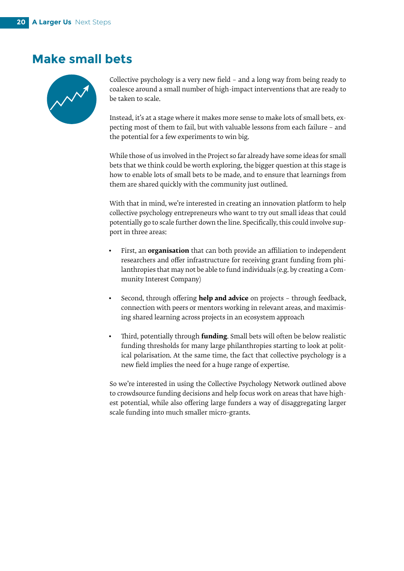#### **Make small bets**



Collective psychology is a very new field – and a long way from being ready to coalesce around a small number of high-impact interventions that are ready to be taken to scale.

Instead, it's at a stage where it makes more sense to make lots of small bets, expecting most of them to fail, but with valuable lessons from each failure – and the potential for a few experiments to win big.

While those of us involved in the Project so far already have some ideas for small bets that we think could be worth exploring, the bigger question at this stage is how to enable lots of small bets to be made, and to ensure that learnings from them are shared quickly with the community just outlined.

With that in mind, we're interested in creating an innovation platform to help collective psychology entrepreneurs who want to try out small ideas that could potentially go to scale further down the line. Specifically, this could involve support in three areas:

- First, an **organisation** that can both provide an affiliation to independent researchers and offer infrastructure for receiving grant funding from philanthropies that may not be able to fund individuals (e.g. by creating a Community Interest Company)
- Second, through offering **help and advice** on projects through feedback, connection with peers or mentors working in relevant areas, and maximising shared learning across projects in an ecosystem approach
- Third, potentially through **funding**. Small bets will often be below realistic funding thresholds for many large philanthropies starting to look at political polarisation. At the same time, the fact that collective psychology is a new field implies the need for a huge range of expertise.

So we're interested in using the Collective Psychology Network outlined above to crowdsource funding decisions and help focus work on areas that have highest potential, while also offering large funders a way of disaggregating larger scale funding into much smaller micro-grants.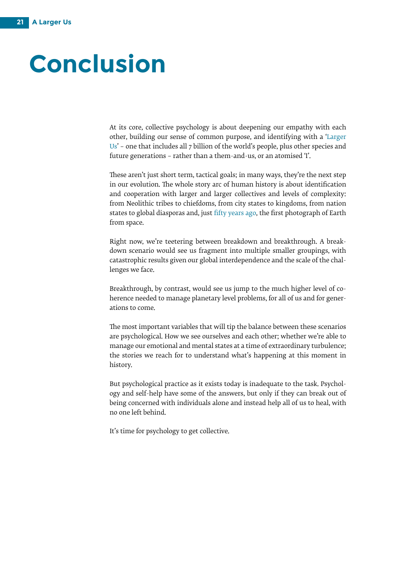### **Conclusion**

At its core, collective psychology is about deepening our empathy with each other, building our sense of common purpose, and identifying with [a 'Larger](https://www.opendemocracy.net/en/transformation/why-progressives-should-worry-about-myth-gap/) [Us'](https://www.opendemocracy.net/en/transformation/why-progressives-should-worry-about-myth-gap/) – one that includes all 7 billion of the world's people, plus other species and future generations – rather than a them-and-us, or an atomised 'I'.

These aren't just short term, tactical goals; in many ways, they're the next step in our evolution. The whole story arc of human history is about identification and cooperation with larger and larger collectives and levels of complexity: from Neolithic tribes to chiefdoms, from city states to kingdoms, from nation states to global diasporas and, jus[t fifty years ago,](https://en.wikipedia.org/wiki/Earthrise) the first photograph of Earth from space.

Right now, we're teetering between breakdown and breakthrough. A breakdown scenario would see us fragment into multiple smaller groupings, with catastrophic results given our global interdependence and the scale of the challenges we face.

Breakthrough, by contrast, would see us jump to the much higher level of coherence needed to manage planetary level problems, for all of us and for generations to come.

The most important variables that will tip the balance between these scenarios are psychological. How we see ourselves and each other; whether we're able to manage our emotional and mental states at a time of extraordinary turbulence; the stories we reach for to understand what's happening at this moment in history.

But psychological practice as it exists today is inadequate to the task. Psychology and self-help have some of the answers, but only if they can break out of being concerned with individuals alone and instead help all of us to heal, with no one left behind.

It's time for psychology to get collective.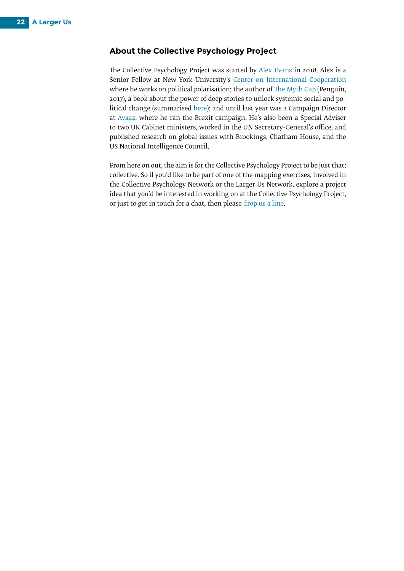#### **About the Collective Psychology Project**

The Collective Psychology Project was started by [Alex Evans](http://www.about.me/alexevansuk) in 2018. Alex is a Senior Fellow at New York University's [Center on International Cooperation](http://www.cic.nyu.edu/) where he works on political polarisation; the author of [The Myth Gap](https://www.penguin.co.uk/books/111/1113478/the-myth-gap/9781473543249.html) (Penguin, 2017), a book about the power of deep stories to unlock systemic social and political change (summarised [here](https://www.sciencefocus.com/future-technology/the-myth-gap-how-to-navigate-a-world-of-post-truth-politics/)); and until last year was a Campaign Director a[t Avaaz](http://www.avaaz.org/), where he ran the Brexit campaign. He's also been a Special Adviser to two UK Cabinet ministers, worked in the UN Secretary-General's office, and published research on global issues with Brookings, Chatham House, and the US National Intelligence Council.

From here on out, the aim is for the Collective Psychology Project to be just that: collective. So if you'd like to be part of one of the mapping exercises, involved in the Collective Psychology Network or the Larger Us Network, explore a project idea that you'd be interested in working on at the Collective Psychology Project, or just to get in touch for a chat, then please [drop us a line](mailto:hello%40collectivepsychology.org?subject=).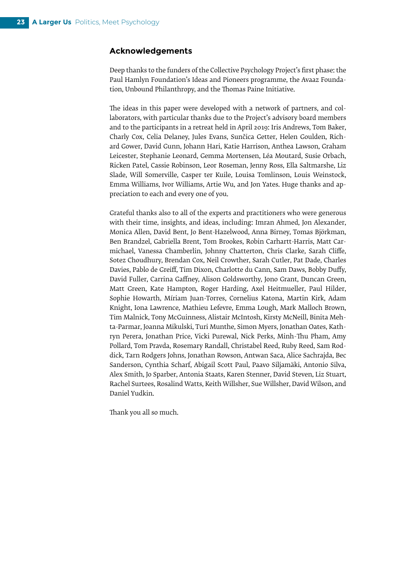#### **Acknowledgements**

Deep thanks to the funders of the Collective Psychology Project's first phase: the Paul Hamlyn Foundation's Ideas and Pioneers programme, the Avaaz Foundation, Unbound Philanthropy, and the Thomas Paine Initiative.

The ideas in this paper were developed with a network of partners, and collaborators, with particular thanks due to the Project's advisory board members and to the participants in a retreat held in April 2019: Iris Andrews, Tom Baker, Charly Cox, Celia Delaney, Jules Evans, Sunčica Getter, Helen Goulden, Richard Gower, David Gunn, Johann Hari, Katie Harrison, Anthea Lawson, Graham Leicester, Stephanie Leonard, Gemma Mortensen, Léa Moutard, Susie Orbach, Ricken Patel, Cassie Robinson, Leor Roseman, Jenny Ross, Ella Saltmarshe, Liz Slade, Will Somerville, Casper ter Kuile, Louisa Tomlinson, Louis Weinstock, Emma Williams, Ivor Williams, Artie Wu, and Jon Yates. Huge thanks and appreciation to each and every one of you.

Grateful thanks also to all of the experts and practitioners who were generous with their time, insights, and ideas, including: Imran Ahmed, Jon Alexander, Monica Allen, David Bent, Jo Bent-Hazelwood, Anna Birney, Tomas Björkman, Ben Brandzel, Gabriella Brent, Tom Brookes, Robin Carhartt-Harris, Matt Carmichael, Vanessa Chamberlin, Johnny Chatterton, Chris Clarke, Sarah Cliffe, Sotez Choudhury, Brendan Cox, Neil Crowther, Sarah Cutler, Pat Dade, Charles Davies, Pablo de Greiff, Tim Dixon, Charlotte du Cann, Sam Daws, Bobby Duffy, David Fuller, Carrina Gaffney, Alison Goldsworthy, Jono Grant, Duncan Green, Matt Green, Kate Hampton, Roger Harding, Axel Heitmueller, Paul Hilder, Sophie Howarth, Míriam Juan-Torres, Cornelius Katona, Martin Kirk, Adam Knight, Iona Lawrence, Mathieu Lefevre, Emma Lough, Mark Malloch Brown, Tim Malnick, Tony McGuinness, Alistair McIntosh, Kirsty McNeill, Binita Mehta-Parmar, Joanna Mikulski, Turi Munthe, Simon Myers, Jonathan Oates, Kathryn Perera, Jonathan Price, Vicki Purewal, Nick Perks, Minh-Thu Pham, Amy Pollard, Tom Pravda, Rosemary Randall, Christabel Reed, Ruby Reed, Sam Roddick, Tarn Rodgers Johns, Jonathan Rowson, Antwan Saca, Alice Sachrajda, Bec Sanderson, Cynthia Scharf, Abigail Scott Paul, Paavo Siljamäki, Antonio Silva, Alex Smith, Jo Sparber, Antonia Staats, Karen Stenner, David Steven, Liz Stuart, Rachel Surtees, Rosalind Watts, Keith Willsher, Sue Willsher, David Wilson, and Daniel Yudkin.

Thank you all so much.